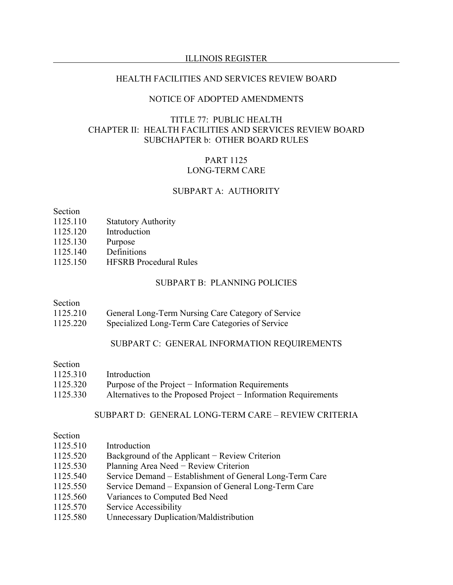### ILLINOIS REGISTER

## HEALTH FACILITIES AND SERVICES REVIEW BOARD

### NOTICE OF ADOPTED AMENDMENTS

## TITLE 77: PUBLIC HEALTH CHAPTER II: HEALTH FACILITIES AND SERVICES REVIEW BOARD SUBCHAPTER b: OTHER BOARD RULES

#### PART 1125 LONG-TERM CARE

## SUBPART A: AUTHORITY

#### Section

- 1125.110 Statutory Authority
- 1125.120 Introduction
- 1125.130 Purpose
- 1125.140 Definitions
- 1125.150 HFSRB Procedural Rules

#### SUBPART B: PLANNING POLICIES

#### Section

- 1125.210 General Long-Term Nursing Care Category of Service
- 1125.220 Specialized Long-Term Care Categories of Service

#### SUBPART C: GENERAL INFORMATION REQUIREMENTS

#### Section

| 1125.310 | Introduction                                                    |
|----------|-----------------------------------------------------------------|
| 1125.320 | Purpose of the Project $-$ Information Requirements             |
| 1125.330 | Alternatives to the Proposed Project – Information Requirements |

#### SUBPART D: GENERAL LONG-TERM CARE – REVIEW CRITERIA

#### Section

- 1125.510 Introduction
- 1125.520 Background of the Applicant − Review Criterion
- 1125.530 Planning Area Need − Review Criterion
- 1125.540 Service Demand Establishment of General Long-Term Care
- 1125.550 Service Demand Expansion of General Long-Term Care
- 1125.560 Variances to Computed Bed Need
- 1125.570 Service Accessibility
- 1125.580 Unnecessary Duplication/Maldistribution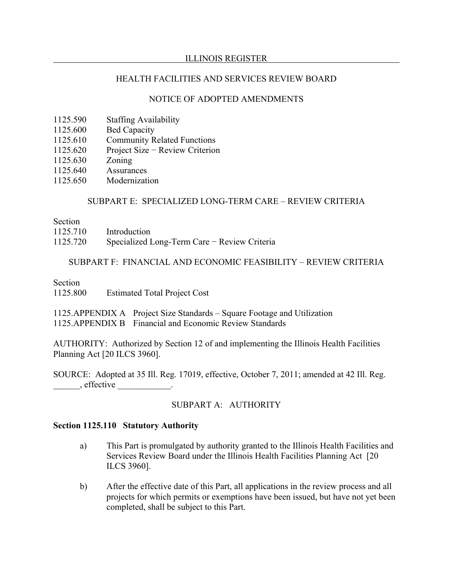## ILLINOIS REGISTER

## HEALTH FACILITIES AND SERVICES REVIEW BOARD

## NOTICE OF ADOPTED AMENDMENTS

- 1125.590 Staffing Availability
- 1125.600 Bed Capacity
- 1125.610 Community Related Functions
- 1125.620 Project Size − Review Criterion
- 1125.630 Zoning
- 1125.640 Assurances
- 1125.650 Modernization

## SUBPART E: SPECIALIZED LONG-TERM CARE – REVIEW CRITERIA

## Section

| 1125.710 | Introduction                                 |
|----------|----------------------------------------------|
| 1125.720 | Specialized Long-Term Care – Review Criteria |

# SUBPART F: FINANCIAL AND ECONOMIC FEASIBILITY – REVIEW CRITERIA

### Section

1125.800 Estimated Total Project Cost

1125.APPENDIX A Project Size Standards – Square Footage and Utilization 1125.APPENDIX B Financial and Economic Review Standards

AUTHORITY: Authorized by Section 12 of and implementing the Illinois Health Facilities Planning Act [20 ILCS 3960].

SOURCE: Adopted at 35 Ill. Reg. 17019, effective, October 7, 2011; amended at 42 Ill. Reg.  $\phi$ , effective  $\phi$ .

# SUBPART A: AUTHORITY

### **Section 1125.110 Statutory Authority**

- a) This Part is promulgated by authority granted to the Illinois Health Facilities and Services Review Board under the Illinois Health Facilities Planning Act [20 ILCS 3960].
- b) After the effective date of this Part, all applications in the review process and all projects for which permits or exemptions have been issued, but have not yet been completed, shall be subject to this Part.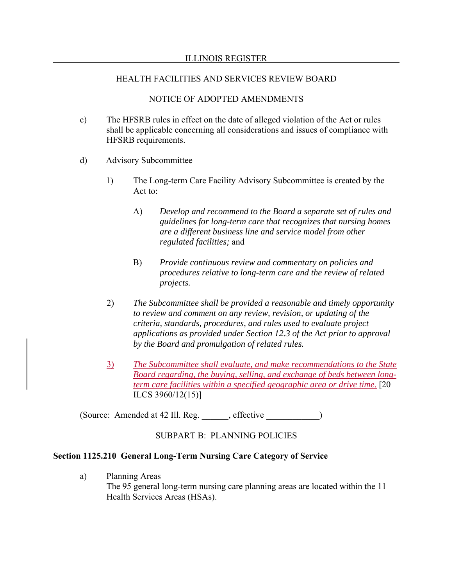## NOTICE OF ADOPTED AMENDMENTS

- c) The HFSRB rules in effect on the date of alleged violation of the Act or rules shall be applicable concerning all considerations and issues of compliance with HFSRB requirements.
- d) Advisory Subcommittee
	- 1) The Long-term Care Facility Advisory Subcommittee is created by the Act to:
		- A) *Develop and recommend to the Board a separate set of rules and guidelines for long-term care that recognizes that nursing homes are a different business line and service model from other regulated facilities;* and
		- B) *Provide continuous review and commentary on policies and procedures relative to long-term care and the review of related projects.*
	- 2) *The Subcommittee shall be provided a reasonable and timely opportunity to review and comment on any review, revision, or updating of the criteria, standards, procedures, and rules used to evaluate project applications as provided under Section 12.3 of the Act prior to approval by the Board and promulgation of related rules.*
	- 3) *The Subcommittee shall evaluate, and make recommendations to the State Board regarding, the buying, selling, and exchange of beds between longterm care facilities within a specified geographic area or drive time.* [20 ILCS 3960/12(15)]

(Source: Amended at 42 Ill. Reg. effective )

SUBPART B: PLANNING POLICIES

### **Section 1125.210 General Long-Term Nursing Care Category of Service**

a) Planning Areas The 95 general long-term nursing care planning areas are located within the 11 Health Services Areas (HSAs).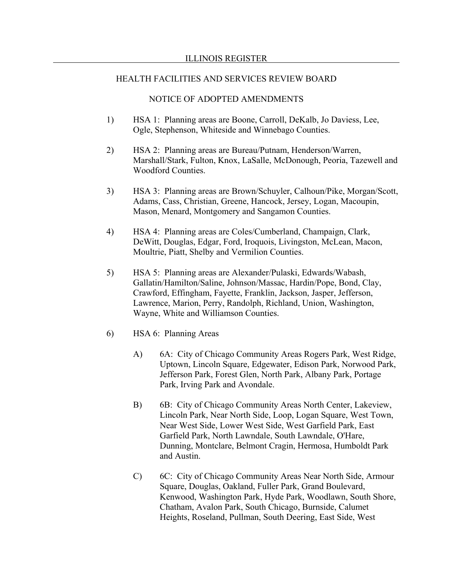# NOTICE OF ADOPTED AMENDMENTS

- 1) HSA 1: Planning areas are Boone, Carroll, DeKalb, Jo Daviess, Lee, Ogle, Stephenson, Whiteside and Winnebago Counties.
- 2) HSA 2: Planning areas are Bureau/Putnam, Henderson/Warren, Marshall/Stark, Fulton, Knox, LaSalle, McDonough, Peoria, Tazewell and Woodford Counties.
- 3) HSA 3: Planning areas are Brown/Schuyler, Calhoun/Pike, Morgan/Scott, Adams, Cass, Christian, Greene, Hancock, Jersey, Logan, Macoupin, Mason, Menard, Montgomery and Sangamon Counties.
- 4) HSA 4: Planning areas are Coles/Cumberland, Champaign, Clark, DeWitt, Douglas, Edgar, Ford, Iroquois, Livingston, McLean, Macon, Moultrie, Piatt, Shelby and Vermilion Counties.
- 5) HSA 5: Planning areas are Alexander/Pulaski, Edwards/Wabash, Gallatin/Hamilton/Saline, Johnson/Massac, Hardin/Pope, Bond, Clay, Crawford, Effingham, Fayette, Franklin, Jackson, Jasper, Jefferson, Lawrence, Marion, Perry, Randolph, Richland, Union, Washington, Wayne, White and Williamson Counties.
- 6) HSA 6: Planning Areas
	- A) 6A: City of Chicago Community Areas Rogers Park, West Ridge, Uptown, Lincoln Square, Edgewater, Edison Park, Norwood Park, Jefferson Park, Forest Glen, North Park, Albany Park, Portage Park, Irving Park and Avondale.
	- B) 6B: City of Chicago Community Areas North Center, Lakeview, Lincoln Park, Near North Side, Loop, Logan Square, West Town, Near West Side, Lower West Side, West Garfield Park, East Garfield Park, North Lawndale, South Lawndale, O'Hare, Dunning, Montclare, Belmont Cragin, Hermosa, Humboldt Park and Austin.
	- C) 6C: City of Chicago Community Areas Near North Side, Armour Square, Douglas, Oakland, Fuller Park, Grand Boulevard, Kenwood, Washington Park, Hyde Park, Woodlawn, South Shore, Chatham, Avalon Park, South Chicago, Burnside, Calumet Heights, Roseland, Pullman, South Deering, East Side, West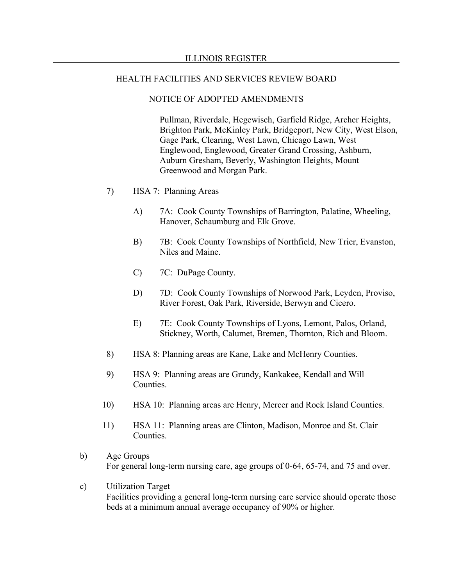#### NOTICE OF ADOPTED AMENDMENTS

Pullman, Riverdale, Hegewisch, Garfield Ridge, Archer Heights, Brighton Park, McKinley Park, Bridgeport, New City, West Elson, Gage Park, Clearing, West Lawn, Chicago Lawn, West Englewood, Englewood, Greater Grand Crossing, Ashburn, Auburn Gresham, Beverly, Washington Heights, Mount Greenwood and Morgan Park.

- 7) HSA 7: Planning Areas
	- A) 7A: Cook County Townships of Barrington, Palatine, Wheeling, Hanover, Schaumburg and Elk Grove.
	- B) 7B: Cook County Townships of Northfield, New Trier, Evanston, Niles and Maine.
	- C) 7C: DuPage County.
	- D) 7D: Cook County Townships of Norwood Park, Leyden, Proviso, River Forest, Oak Park, Riverside, Berwyn and Cicero.
	- E) 7E: Cook County Townships of Lyons, Lemont, Palos, Orland, Stickney, Worth, Calumet, Bremen, Thornton, Rich and Bloom.
- 8) HSA 8: Planning areas are Kane, Lake and McHenry Counties.
- 9) HSA 9: Planning areas are Grundy, Kankakee, Kendall and Will Counties.
- 10) HSA 10: Planning areas are Henry, Mercer and Rock Island Counties.
- 11) HSA 11: Planning areas are Clinton, Madison, Monroe and St. Clair Counties.
- b) Age Groups For general long-term nursing care, age groups of 0-64, 65-74, and 75 and over.
- c) Utilization Target Facilities providing a general long-term nursing care service should operate those beds at a minimum annual average occupancy of 90% or higher.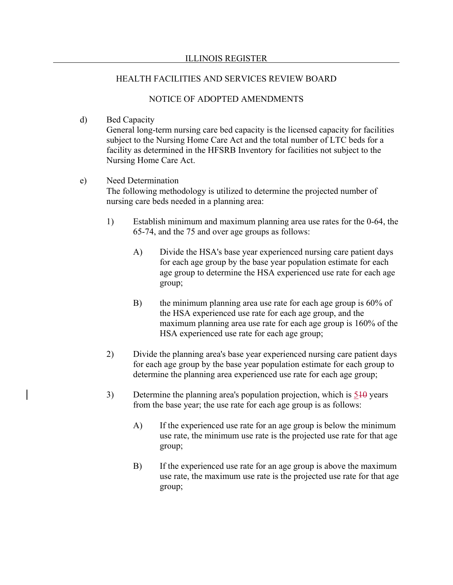# NOTICE OF ADOPTED AMENDMENTS

### d) Bed Capacity

General long-term nursing care bed capacity is the licensed capacity for facilities subject to the Nursing Home Care Act and the total number of LTC beds for a facility as determined in the HFSRB Inventory for facilities not subject to the Nursing Home Care Act.

#### e) Need Determination

The following methodology is utilized to determine the projected number of nursing care beds needed in a planning area:

- 1) Establish minimum and maximum planning area use rates for the 0-64, the 65-74, and the 75 and over age groups as follows:
	- A) Divide the HSA's base year experienced nursing care patient days for each age group by the base year population estimate for each age group to determine the HSA experienced use rate for each age group;
	- B) the minimum planning area use rate for each age group is 60% of the HSA experienced use rate for each age group, and the maximum planning area use rate for each age group is 160% of the HSA experienced use rate for each age group;
- 2) Divide the planning area's base year experienced nursing care patient days for each age group by the base year population estimate for each group to determine the planning area experienced use rate for each age group;
- 3) Determine the planning area's population projection, which is 510 years from the base year; the use rate for each age group is as follows:
	- A) If the experienced use rate for an age group is below the minimum use rate, the minimum use rate is the projected use rate for that age group;
	- B) If the experienced use rate for an age group is above the maximum use rate, the maximum use rate is the projected use rate for that age group;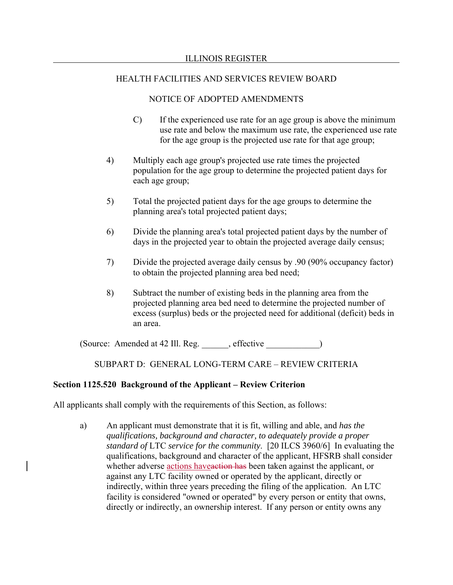## NOTICE OF ADOPTED AMENDMENTS

- C) If the experienced use rate for an age group is above the minimum use rate and below the maximum use rate, the experienced use rate for the age group is the projected use rate for that age group;
- 4) Multiply each age group's projected use rate times the projected population for the age group to determine the projected patient days for each age group;
- 5) Total the projected patient days for the age groups to determine the planning area's total projected patient days;
- 6) Divide the planning area's total projected patient days by the number of days in the projected year to obtain the projected average daily census;
- 7) Divide the projected average daily census by .90 (90% occupancy factor) to obtain the projected planning area bed need;
- 8) Subtract the number of existing beds in the planning area from the projected planning area bed need to determine the projected number of excess (surplus) beds or the projected need for additional (deficit) beds in an area.

(Source: Amended at 42 Ill. Reg. effective

SUBPART D: GENERAL LONG-TERM CARE – REVIEW CRITERIA

# **Section 1125.520 Background of the Applicant – Review Criterion**

All applicants shall comply with the requirements of this Section, as follows:

a) An applicant must demonstrate that it is fit, willing and able, and *has the qualifications, background and character, to adequately provide a proper standard of* LTC *service for the community*. [20 ILCS 3960/6] In evaluating the qualifications, background and character of the applicant, HFSRB shall consider whether adverse actions have action has been taken against the applicant, or against any LTC facility owned or operated by the applicant, directly or indirectly, within three years preceding the filing of the application. An LTC facility is considered "owned or operated" by every person or entity that owns, directly or indirectly, an ownership interest. If any person or entity owns any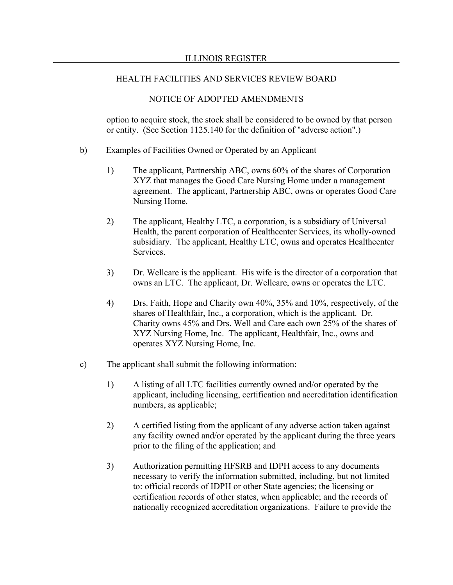## NOTICE OF ADOPTED AMENDMENTS

option to acquire stock, the stock shall be considered to be owned by that person or entity. (See Section 1125.140 for the definition of "adverse action".)

- b) Examples of Facilities Owned or Operated by an Applicant
	- 1) The applicant, Partnership ABC, owns 60% of the shares of Corporation XYZ that manages the Good Care Nursing Home under a management agreement. The applicant, Partnership ABC, owns or operates Good Care Nursing Home.
	- 2) The applicant, Healthy LTC, a corporation, is a subsidiary of Universal Health, the parent corporation of Healthcenter Services, its wholly-owned subsidiary. The applicant, Healthy LTC, owns and operates Healthcenter Services.
	- 3) Dr. Wellcare is the applicant. His wife is the director of a corporation that owns an LTC. The applicant, Dr. Wellcare, owns or operates the LTC.
	- 4) Drs. Faith, Hope and Charity own 40%, 35% and 10%, respectively, of the shares of Healthfair, Inc., a corporation, which is the applicant. Dr. Charity owns 45% and Drs. Well and Care each own 25% of the shares of XYZ Nursing Home, Inc. The applicant, Healthfair, Inc., owns and operates XYZ Nursing Home, Inc.
- c) The applicant shall submit the following information:
	- 1) A listing of all LTC facilities currently owned and/or operated by the applicant, including licensing, certification and accreditation identification numbers, as applicable;
	- 2) A certified listing from the applicant of any adverse action taken against any facility owned and/or operated by the applicant during the three years prior to the filing of the application; and
	- 3) Authorization permitting HFSRB and IDPH access to any documents necessary to verify the information submitted, including, but not limited to: official records of IDPH or other State agencies; the licensing or certification records of other states, when applicable; and the records of nationally recognized accreditation organizations. Failure to provide the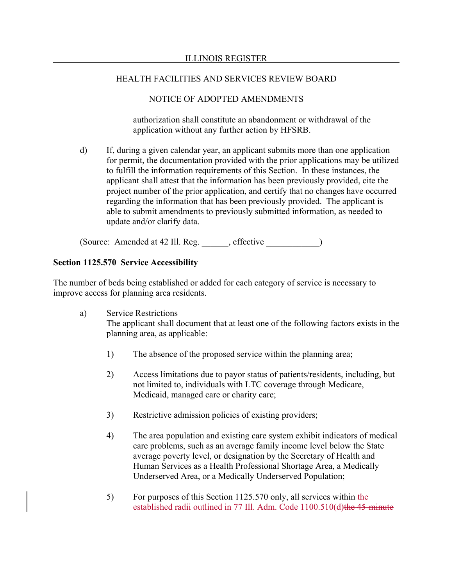# NOTICE OF ADOPTED AMENDMENTS

authorization shall constitute an abandonment or withdrawal of the application without any further action by HFSRB.

d) If, during a given calendar year, an applicant submits more than one application for permit, the documentation provided with the prior applications may be utilized to fulfill the information requirements of this Section. In these instances, the applicant shall attest that the information has been previously provided, cite the project number of the prior application, and certify that no changes have occurred regarding the information that has been previously provided. The applicant is able to submit amendments to previously submitted information, as needed to update and/or clarify data.

(Source: Amended at 42 Ill. Reg. \_\_\_\_\_\_, effective \_\_\_\_\_\_\_\_\_\_\_\_)

# **Section 1125.570 Service Accessibility**

The number of beds being established or added for each category of service is necessary to improve access for planning area residents.

- a) Service Restrictions The applicant shall document that at least one of the following factors exists in the planning area, as applicable:
	- 1) The absence of the proposed service within the planning area;
	- 2) Access limitations due to payor status of patients/residents, including, but not limited to, individuals with LTC coverage through Medicare, Medicaid, managed care or charity care;
	- 3) Restrictive admission policies of existing providers;
	- 4) The area population and existing care system exhibit indicators of medical care problems, such as an average family income level below the State average poverty level, or designation by the Secretary of Health and Human Services as a Health Professional Shortage Area, a Medically Underserved Area, or a Medically Underserved Population;
	- 5) For purposes of this Section 1125.570 only, all services within the established radii outlined in 77 Ill. Adm. Code 1100.510(d)the 45-minute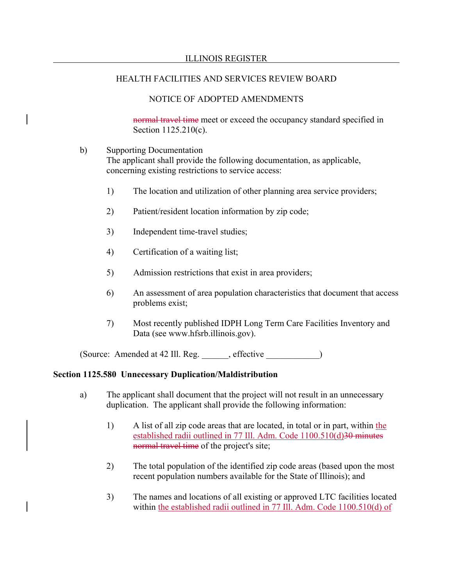# NOTICE OF ADOPTED AMENDMENTS

normal travel time meet or exceed the occupancy standard specified in Section 1125.210(c).

## b) Supporting Documentation

The applicant shall provide the following documentation, as applicable, concerning existing restrictions to service access:

- 1) The location and utilization of other planning area service providers;
- 2) Patient/resident location information by zip code;
- 3) Independent time-travel studies;
- 4) Certification of a waiting list;
- 5) Admission restrictions that exist in area providers;
- 6) An assessment of area population characteristics that document that access problems exist;
- 7) Most recently published IDPH Long Term Care Facilities Inventory and Data (see www.hfsrb.illinois.gov).

(Source: Amended at 42 Ill. Reg. \_\_\_\_\_\_, effective \_\_\_\_\_\_\_\_\_\_\_\_)

# **Section 1125.580 Unnecessary Duplication/Maldistribution**

- a) The applicant shall document that the project will not result in an unnecessary duplication. The applicant shall provide the following information:
	- 1) A list of all zip code areas that are located, in total or in part, within the established radii outlined in 77 Ill. Adm. Code 1100.510(d)30 minutes normal travel time of the project's site;
	- 2) The total population of the identified zip code areas (based upon the most recent population numbers available for the State of Illinois); and
	- 3) The names and locations of all existing or approved LTC facilities located within the established radii outlined in 77 Ill. Adm. Code 1100.510(d) of